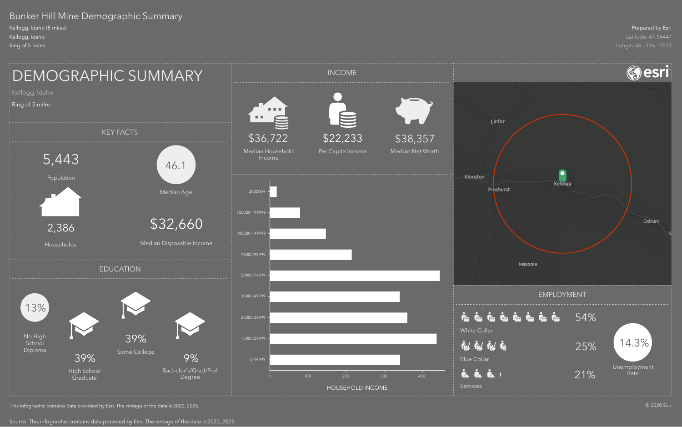# Bunker Hill Mine Demographic Summary

Kellogg, Idaho (5 miles) Kellogg, Idaho Ring of 5 miles



This infographic contains data provided by Esri. The vintage of the data is 2020, 2025.

Source: This infographic contains data provided by Esri. The vintage of the data is 2020, 2025.

### Prepared by Esri Latitude: 47.54447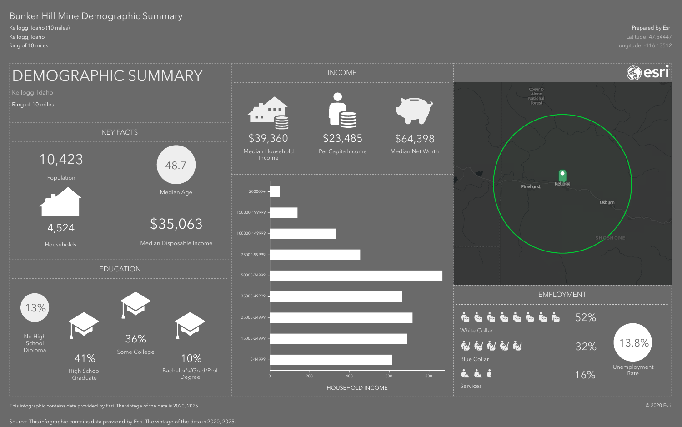# Bunker Hill Mine Demographic Summary

Kellogg, Idaho (10 miles) Kellogg, Idaho Ring of 10 miles



This infographic contains data provided by Esri. The vintage of the data is 2020, 2025.

Source: This infographic contains data provided by Esri. The vintage of the data is 2020, 2025.

#### Prepared by Esri

Latitude: 47.54447